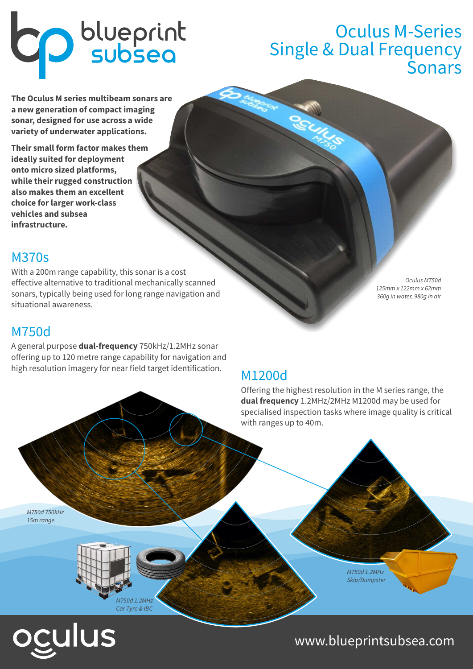# **CD** blueprint

## Oculus M-Series Single & Dual Frequency Sonars

**The Oculus M series multibeam sonars are a new generation of compact imaging sonar, designed for use across a wide variety of underwater applications.** 

**Their small form factor makes them ideally suited for deployment onto micro sized platforms, while their rugged construction also makes them an excellent choice for larger work-class vehicles and subsea infrastructure.**

## M370s

With a 200m range capability, this sonar is a cost effective alternative to traditional mechanically scanned sonars, typically being used for long range navigation and situational awareness.

## M750d

A general purpose **dual-frequency** 750kHz/1.2MHz sonar offering up to 120 metre range capability for navigation and high resolution imagery for near field target identification.

# M1200d

Offering the highest resolution in the M series range, the **dual frequency** 1.2MHz/2MHz M1200d may be used for specialised inspection tasks where image quality is critical with ranges up to 40m.

Oculus M750d

125mm x 122mm x 62mm 360g in water, 980g in air

M750d 750kHz 15m range



ulus

M750d 1.2MHz Skip/Dumpster

www.blueprintsubsea.com